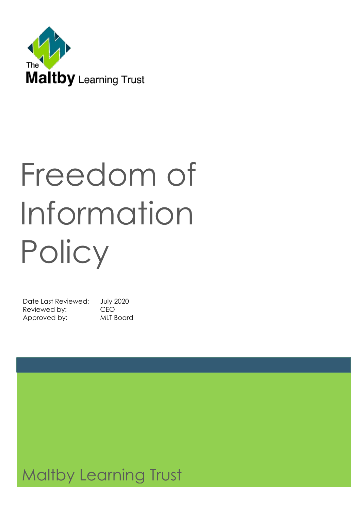

# Freedom of Information **Policy**

Date Last Reviewed: July 2020 Reviewed by: CEO Approved by: MLT Board

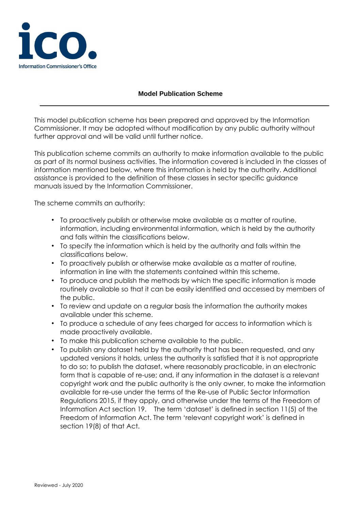

# **Model Publication Scheme**

This model publication scheme has been prepared and approved by the Information Commissioner. It may be adopted without modification by any public authority without further approval and will be valid until further notice.

This publication scheme commits an authority to make information available to the public as part of its normal business activities. The information covered is included in the classes of information mentioned below, where this information is held by the authority. Additional assistance is provided to the definition of these classes in sector specific guidance manuals issued by the Information Commissioner.

The scheme commits an authority:

- To proactively publish or otherwise make available as a matter of routine, information, including environmental information, which is held by the authority and falls within the classifications below.
- To specify the information which is held by the authority and falls within the classifications below.
- To proactively publish or otherwise make available as a matter of routine, information in line with the statements contained within this scheme.
- To produce and publish the methods by which the specific information is made routinely available so that it can be easily identified and accessed by members of the public.
- To review and update on a regular basis the information the authority makes available under this scheme.
- To produce a schedule of any fees charged for access to information which is made proactively available.
- To make this publication scheme available to the public.
- To publish any dataset held by the authority that has been requested, and any updated versions it holds, unless the authority is satisfied that it is not appropriate to do so; to publish the dataset, where reasonably practicable, in an electronic form that is capable of re-use; and, if any information in the dataset is a relevant copyright work and the public authority is the only owner, to make the information available for re-use under the terms of the Re-use of Public Sector Information Regulations 2015, if they apply, and otherwise under the terms of the Freedom of Information Act section 19. The term 'dataset' is defined in section 11(5) of the Freedom of Information Act. The term 'relevant copyright work' is defined in section 19(8) of that Act.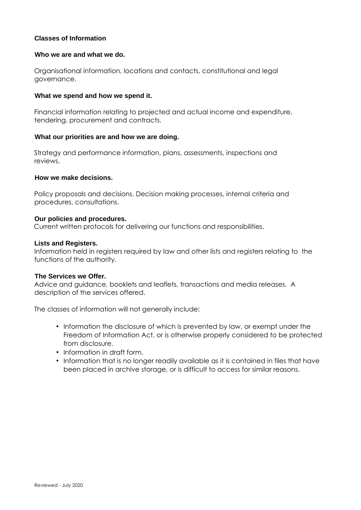# **Classes of Information**

#### **Who we are and what we do.**

Organisational information, locations and contacts, constitutional and legal governance.

#### **What we spend and how we spend it.**

Financial information relating to projected and actual income and expenditure, tendering, procurement and contracts.

#### **What our priorities are and how we are doing.**

Strategy and performance information, plans, assessments, inspections and reviews.

# **How we make decisions.**

Policy proposals and decisions. Decision making processes, internal criteria and procedures, consultations.

#### **Our policies and procedures.**

Current written protocols for delivering our functions and responsibilities.

#### **Lists and Registers.**

Information held in registers required by law and other lists and registers relating to the functions of the authority.

#### **The Services we Offer.**

Advice and guidance, booklets and leaflets, transactions and media releases. A description of the services offered.

The classes of information will not generally include:

- Information the disclosure of which is prevented by law, or exempt under the Freedom of Information Act, or is otherwise properly considered to be protected from disclosure.
- Information in draft form.
- Information that is no longer readily available as it is contained in files that have been placed in archive storage, or is difficult to access for similar reasons.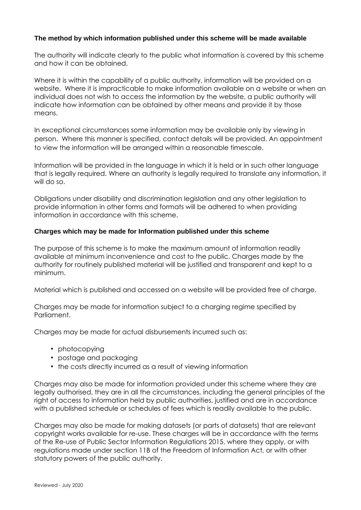# **The method by which information published under this scheme will be made available**

The authority will indicate clearly to the public what information is covered by this scheme and how it can be obtained.

Where it is within the capability of a public authority, information will be provided on a website. Where it is impracticable to make information available on a website or when an individual does not wish to access the information by the website, a public authority will indicate how information can be obtained by other means and provide it by those means.

In exceptional circumstances some information may be available only by viewing in person. Where this manner is specified, contact details will be provided. An appointment to view the information will be arranged within a reasonable timescale.

Information will be provided in the language in which it is held or in such other language that is legally required. Where an authority is legally required to translate any information, it will do so.

Obligations under disability and discrimination legislation and any other legislation to provide information in other forms and formats will be adhered to when providing information in accordance with this scheme.

# **Charges which may be made for Information published under this scheme**

The purpose of this scheme is to make the maximum amount of information readily available at minimum inconvenience and cost to the public. Charges made by the authority for routinely published material will be justified and transparent and kept to a minimum.

Material which is published and accessed on a website will be provided free of charge.

Charges may be made for information subject to a charging regime specified by Parliament.

Charges may be made for actual disbursements incurred such as:

- photocopying
- postage and packaging
- the costs directly incurred as a result of viewing information

Charges may also be made for information provided under this scheme where they are legally authorised, they are in all the circumstances, including the general principles of the right of access to information held by public authorities, justified and are in accordance with a published schedule or schedules of fees which is readily available to the public.

Charges may also be made for making datasets (or parts of datasets) that are relevant copyright works available for re-use. These charges will be in accordance with the terms of the Re-use of Public Sector Information Regulations 2015, where they apply, or with regulations made under section 11B of the Freedom of Information Act, or with other statutory powers of the public authority.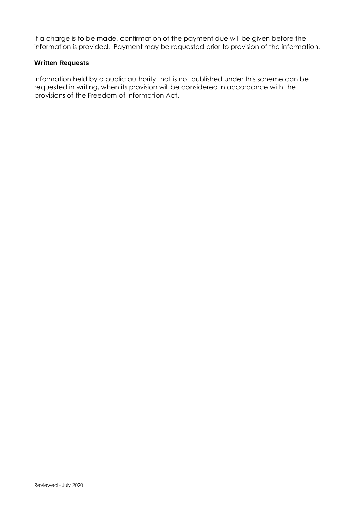If a charge is to be made, confirmation of the payment due will be given before the information is provided. Payment may be requested prior to provision of the information.

# **Written Requests**

Information held by a public authority that is not published under this scheme can be requested in writing, when its provision will be considered in accordance with the provisions of the Freedom of Information Act.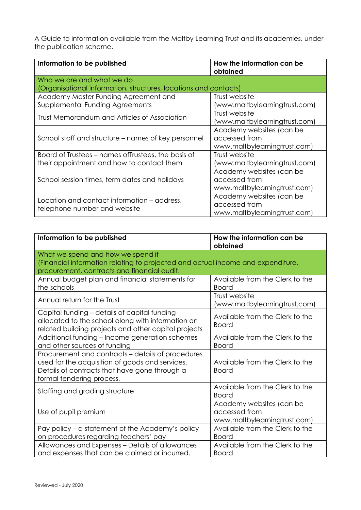A Guide to information available from the Maltby Learning Trust and its academies, under the publication scheme.

| Information to be published                                                 | How the information can be<br>obtained |
|-----------------------------------------------------------------------------|----------------------------------------|
| Who we are and what we do                                                   |                                        |
| (Organisational information, structures, locations and contacts)            |                                        |
| Academy Master Funding Agreement and                                        | Trust website                          |
| Supplemental Funding Agreements                                             | (www.maltbylearningtrust.com)          |
| Trust Memorandum and Articles of Association                                | Trust website                          |
|                                                                             | (www.maltbylearningtrust.com)          |
| School staff and structure – names of key personnel                         | Academy websites (can be               |
|                                                                             | accessed from                          |
|                                                                             | www.maltbylearningtrust.com)           |
| Board of Trustees – names of Trustees, the basis of                         | Trust website                          |
| their appointment and how to contact them                                   | (www.maltbylearningtrust.com)          |
| School session times, term dates and holidays                               | Academy websites (can be               |
|                                                                             | accessed from                          |
|                                                                             | www.maltbylearningtrust.com)           |
| Location and contact information - address,<br>telephone number and website | Academy websites (can be               |
|                                                                             | accessed from                          |
|                                                                             | www.maltbylearningtrust.com)           |

| Information to be published                                                                                                                                                        | How the information can be<br>obtained                                    |  |
|------------------------------------------------------------------------------------------------------------------------------------------------------------------------------------|---------------------------------------------------------------------------|--|
| What we spend and how we spend it                                                                                                                                                  |                                                                           |  |
| (Financial information relating to projected and actual income and expenditure,<br>procurement, contracts and financial audit.                                                     |                                                                           |  |
| Annual budget plan and financial statements for<br>the schools                                                                                                                     | Available from the Clerk to the<br><b>Board</b>                           |  |
| Annual return for the Trust                                                                                                                                                        | Trust website<br>(www.maltbylearningtrust.com)                            |  |
| Capital funding - details of capital funding<br>allocated to the school along with information on<br>related building projects and other capital projects                          | Available from the Clerk to the<br><b>Board</b>                           |  |
| Additional funding - Income generation schemes<br>and other sources of funding                                                                                                     | Available from the Clerk to the<br><b>Board</b>                           |  |
| Procurement and contracts - details of procedures<br>used for the acquisition of goods and services.<br>Details of contracts that have gone through a<br>formal tendering process. | Available from the Clerk to the<br><b>Board</b>                           |  |
| Staffing and grading structure                                                                                                                                                     | Available from the Clerk to the<br><b>Board</b>                           |  |
| Use of pupil premium                                                                                                                                                               | Academy websites (can be<br>accessed from<br>www.maltbylearningtrust.com) |  |
| Pay policy – a statement of the Academy's policy                                                                                                                                   | Available from the Clerk to the                                           |  |
| on procedures regarding teachers' pay<br>Allowances and Expenses - Details of allowances<br>and expenses that can be claimed or incurred.                                          | <b>Board</b><br>Available from the Clerk to the<br><b>Board</b>           |  |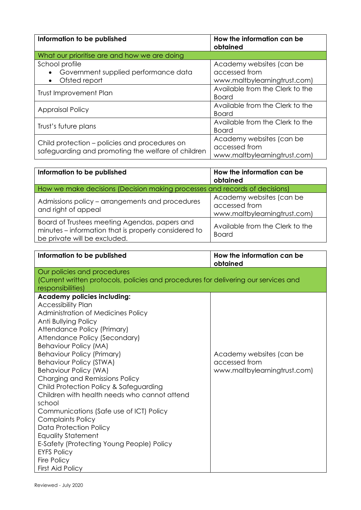| Information to be published                                                                         | How the information can be<br>obtained |
|-----------------------------------------------------------------------------------------------------|----------------------------------------|
| What our prioritise are and how we are doing                                                        |                                        |
| School profile                                                                                      | Academy websites (can be               |
| Government supplied performance data                                                                | accessed from                          |
| Ofsted report                                                                                       | www.maltbylearningtrust.com)           |
| Trust Improvement Plan                                                                              | Available from the Clerk to the        |
|                                                                                                     | <b>Board</b>                           |
| <b>Appraisal Policy</b>                                                                             | Available from the Clerk to the        |
|                                                                                                     | <b>Board</b>                           |
| Trust's future plans                                                                                | Available from the Clerk to the        |
|                                                                                                     | Board                                  |
| Child protection - policies and procedures on<br>safeguarding and promoting the welfare of children | Academy websites (can be               |
|                                                                                                     | accessed from                          |
|                                                                                                     | www.maltbylearningtrust.com)           |

| Information to be published                                                                                                           | How the information can be<br>obtained                                    |
|---------------------------------------------------------------------------------------------------------------------------------------|---------------------------------------------------------------------------|
| How we make decisions (Decision making processes and records of decisions)                                                            |                                                                           |
| Admissions policy – arrangements and procedures<br>and right of appeal                                                                | Academy websites (can be<br>accessed from<br>www.maltbylearningtrust.com) |
| Board of Trustees meeting Agendas, papers and<br>minutes – information that is properly considered to<br>be private will be excluded. | Available from the Clerk to the<br><b>Board</b>                           |

| Information to be published                                                                              | How the information can be<br>obtained |
|----------------------------------------------------------------------------------------------------------|----------------------------------------|
| Our policies and procedures                                                                              |                                        |
| (Current written protocols, policies and procedures for delivering our services and<br>responsibilities) |                                        |
| <b>Academy policies including:</b>                                                                       |                                        |
| <b>Accessibility Plan</b>                                                                                |                                        |
| Administration of Medicines Policy                                                                       |                                        |
| Anti Bullying Policy                                                                                     |                                        |
| Attendance Policy (Primary)                                                                              |                                        |
| Attendance Policy (Secondary)                                                                            |                                        |
| <b>Behaviour Policy (MA)</b>                                                                             |                                        |
| <b>Behaviour Policy (Primary)</b>                                                                        | Academy websites (can be               |
| <b>Behaviour Policy (STWA)</b>                                                                           | accessed from                          |
| <b>Behaviour Policy (WA)</b>                                                                             | www.maltbylearningtrust.com)           |
| Charging and Remissions Policy                                                                           |                                        |
| Child Protection Policy & Safeguarding<br>Children with health needs who cannot attend                   |                                        |
| school                                                                                                   |                                        |
| Communications (Safe use of ICT) Policy                                                                  |                                        |
| <b>Complaints Policy</b>                                                                                 |                                        |
| Data Protection Policy                                                                                   |                                        |
| <b>Equality Statement</b>                                                                                |                                        |
| E-Safety (Protecting Young People) Policy                                                                |                                        |
| <b>EYFS Policy</b>                                                                                       |                                        |
| Fire Policy                                                                                              |                                        |
| <b>First Aid Policy</b>                                                                                  |                                        |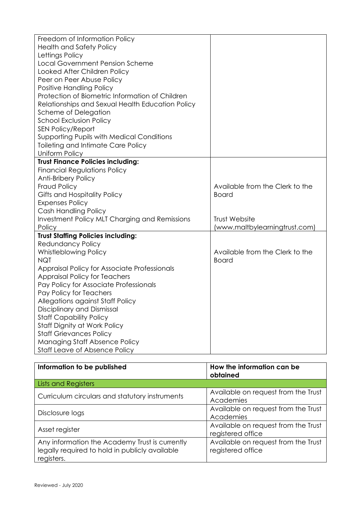| Freedom of Information Policy                        |                                 |
|------------------------------------------------------|---------------------------------|
| <b>Health and Safety Policy</b>                      |                                 |
| Lettings Policy                                      |                                 |
| <b>Local Government Pension Scheme</b>               |                                 |
| Looked After Children Policy                         |                                 |
| Peer on Peer Abuse Policy                            |                                 |
| Positive Handling Policy                             |                                 |
| Protection of Biometric Information of Children      |                                 |
| Relationships and Sexual Health Education Policy     |                                 |
| Scheme of Delegation                                 |                                 |
| <b>School Exclusion Policy</b>                       |                                 |
| <b>SEN Policy/Report</b>                             |                                 |
| <b>Supporting Pupils with Medical Conditions</b>     |                                 |
| Toileting and Intimate Care Policy                   |                                 |
| Uniform Policy                                       |                                 |
| <b>Trust Finance Policies including:</b>             |                                 |
| <b>Financial Regulations Policy</b>                  |                                 |
| <b>Anti-Bribery Policy</b>                           |                                 |
| <b>Fraud Policy</b>                                  | Available from the Clerk to the |
| Gifts and Hospitality Policy                         | <b>Board</b>                    |
| <b>Expenses Policy</b>                               |                                 |
| Cash Handling Policy                                 |                                 |
| <b>Investment Policy MLT Charging and Remissions</b> | Trust Website                   |
| Policy                                               | (www.maltbylearningtrust.com)   |
| <b>Trust Staffing Policies including:</b>            |                                 |
| <b>Redundancy Policy</b>                             |                                 |
| <b>Whistleblowing Policy</b>                         | Available from the Clerk to the |
| <b>NQT</b>                                           | <b>Board</b>                    |
| Appraisal Policy for Associate Professionals         |                                 |
| <b>Appraisal Policy for Teachers</b>                 |                                 |
| Pay Policy for Associate Professionals               |                                 |
| Pay Policy for Teachers                              |                                 |
| Allegations against Staff Policy                     |                                 |
| Disciplinary and Dismissal                           |                                 |
| <b>Staff Capability Policy</b>                       |                                 |
| Staff Dignity at Work Policy                         |                                 |
| <b>Staff Grievances Policy</b>                       |                                 |
| <b>Managing Staff Absence Policy</b>                 |                                 |
| <b>Staff Leave of Absence Policy</b>                 |                                 |

| Information to be published                                                                                    | How the information can be<br>obtained                   |
|----------------------------------------------------------------------------------------------------------------|----------------------------------------------------------|
| <b>Lists and Registers</b>                                                                                     |                                                          |
| Curriculum circulars and statutory instruments                                                                 | Available on request from the Trust<br>Academies         |
| Disclosure logs                                                                                                | Available on request from the Trust<br>Academies         |
| Asset register                                                                                                 | Available on request from the Trust<br>registered office |
| Any information the Academy Trust is currently<br>legally required to hold in publicly available<br>registers. | Available on request from the Trust<br>registered office |